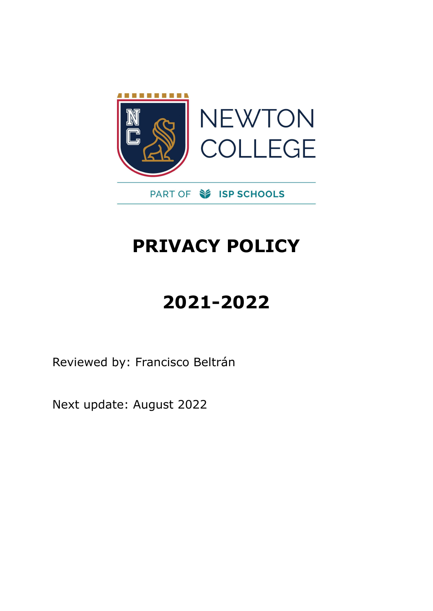

## **PRIVACY POLICY**

# **2021-2022**

Reviewed by: Francisco Beltrán

Next update: August 2022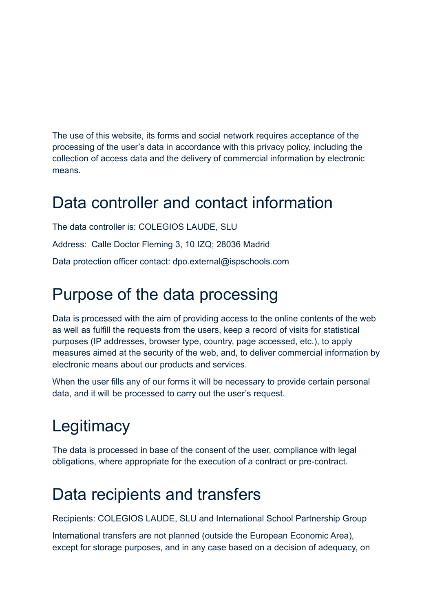The use of this website, its forms and social network requires acceptance of the processing of the user's data in accordance with this privacy policy, including the collection of access data and the delivery of commercial information by electronic means.

#### Data controller and contact information

The data controller is: COLEGIOS LAUDE, SLU Address: Calle Doctor Fleming 3, 10 IZQ; 28036 Madrid Data protection officer contact: dpo.external@ispschools.com

#### Purpose of the data processing

Data is processed with the aim of providing access to the online contents of the web as well as fulfill the requests from the users, keep a record of visits for statistical purposes (IP addresses, browser type, country, page accessed, etc.), to apply measures aimed at the security of the web, and, to deliver commercial information by electronic means about our products and services.

When the user fills any of our forms it will be necessary to provide certain personal data, and it will be processed to carry out the user's request.

## **Legitimacy**

The data is processed in base of the consent of the user, compliance with legal obligations, where appropriate for the execution of a contract or pre-contract.

#### Data recipients and transfers

Recipients: COLEGIOS LAUDE, SLU and International School Partnership Group

International transfers are not planned (outside the European Economic Area), except for storage purposes, and in any case based on a decision of adequacy, on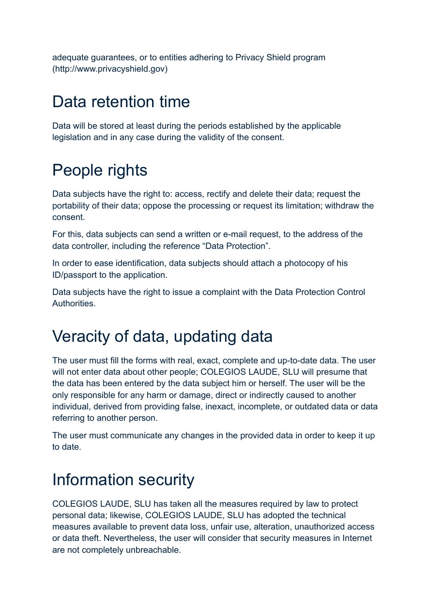adequate guarantees, or to entities adhering to Privacy Shield program (http://www.privacyshield.gov)

#### Data retention time

Data will be stored at least during the periods established by the applicable legislation and in any case during the validity of the consent.

## People rights

Data subjects have the right to: access, rectify and delete their data; request the portability of their data; oppose the processing or request its limitation; withdraw the consent.

For this, data subjects can send a written or e-mail request, to the address of the data controller, including the reference "Data Protection".

In order to ease identification, data subjects should attach a photocopy of his ID/passport to the application.

Data subjects have the right to issue a complaint with the Data Protection Control Authorities.

## Veracity of data, updating data

The user must fill the forms with real, exact, complete and up-to-date data. The user will not enter data about other people; COLEGIOS LAUDE, SLU will presume that the data has been entered by the data subject him or herself. The user will be the only responsible for any harm or damage, direct or indirectly caused to another individual, derived from providing false, inexact, incomplete, or outdated data or data referring to another person.

The user must communicate any changes in the provided data in order to keep it up to date.

## Information security

COLEGIOS LAUDE, SLU has taken all the measures required by law to protect personal data; likewise, COLEGIOS LAUDE, SLU has adopted the technical measures available to prevent data loss, unfair use, alteration, unauthorized access or data theft. Nevertheless, the user will consider that security measures in Internet are not completely unbreachable.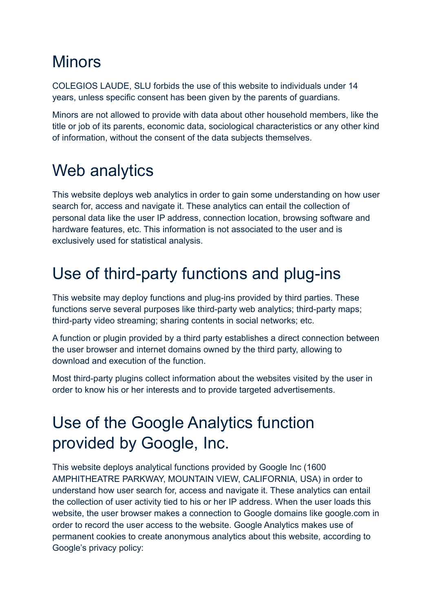#### **Minors**

COLEGIOS LAUDE, SLU forbids the use of this website to individuals under 14 years, unless specific consent has been given by the parents of guardians.

Minors are not allowed to provide with data about other household members, like the title or job of its parents, economic data, sociological characteristics or any other kind of information, without the consent of the data subjects themselves.

## Web analytics

This website deploys web analytics in order to gain some understanding on how user search for, access and navigate it. These analytics can entail the collection of personal data like the user IP address, connection location, browsing software and hardware features, etc. This information is not associated to the user and is exclusively used for statistical analysis.

## Use of third-party functions and plug-ins

This website may deploy functions and plug-ins provided by third parties. These functions serve several purposes like third-party web analytics; third-party maps; third-party video streaming; sharing contents in social networks; etc.

A function or plugin provided by a third party establishes a direct connection between the user browser and internet domains owned by the third party, allowing to download and execution of the function.

Most third-party plugins collect information about the websites visited by the user in order to know his or her interests and to provide targeted advertisements.

### Use of the Google Analytics function provided by Google, Inc.

This website deploys analytical functions provided by Google Inc (1600 AMPHITHEATRE PARKWAY, MOUNTAIN VIEW, CALIFORNIA, USA) in order to understand how user search for, access and navigate it. These analytics can entail the collection of user activity tied to his or her IP address. When the user loads this website, the user browser makes a connection to Google domains like google.com in order to record the user access to the website. Google Analytics makes use of permanent cookies to create anonymous analytics about this website, according to Google's privacy policy: